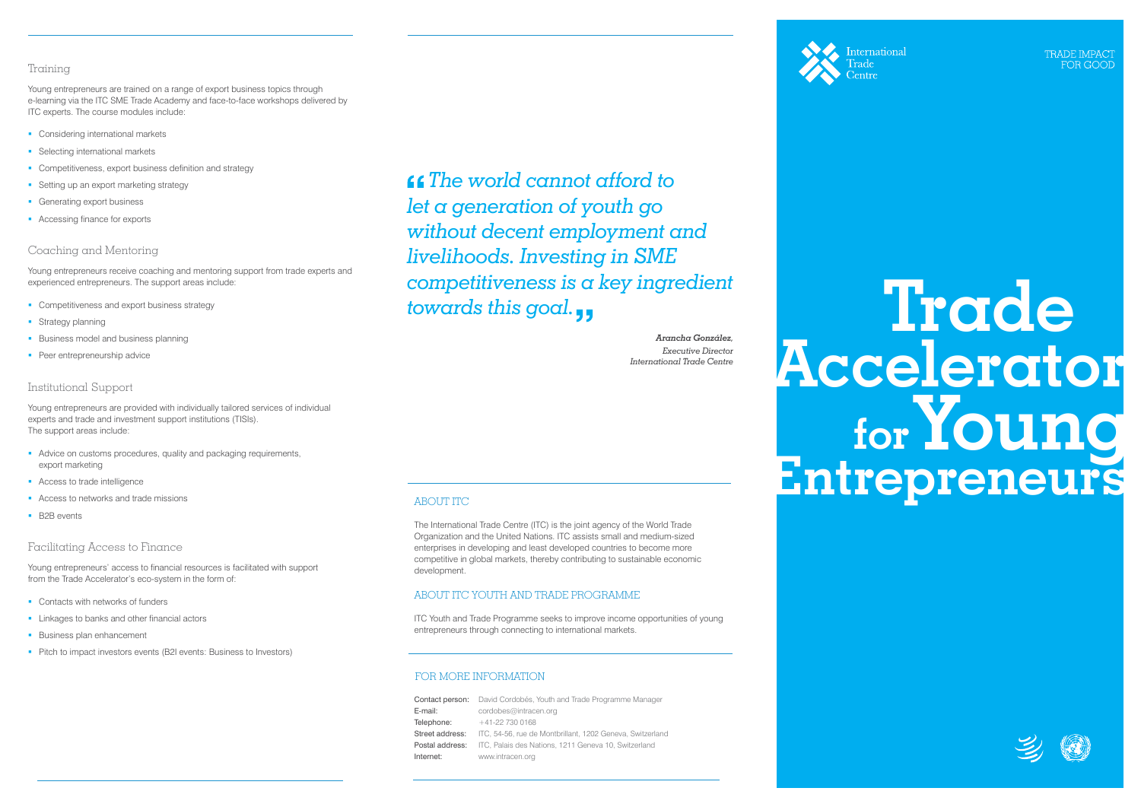# **Trade Accelerator Young Entrepreneurs for**

## Training

Young entrepreneurs are trained on a range of export business topics through e-learning via the ITC SME Trade Academy and face-to-face workshops delivered by ITC experts. The course modules include:

- **Considering international markets**
- **Selecting international markets**
- **Competitiveness, export business definition and strategy**
- **Setting up an export marketing strategy**
- **Generating export business**
- **Accessing finance for exports**

#### Coaching and Mentoring

Young entrepreneurs receive coaching and mentoring support from trade experts and experienced entrepreneurs. The support areas include:

- **Competitiveness and export business strategy**
- **Strategy planning**
- **Business model and business planning**
- **Peer entrepreneurship advice**

## Institutional Support

Young entrepreneurs are provided with individually tailored services of individual experts and trade and investment support institutions (TISIs). The support areas include:

- Advice on customs procedures, quality and packaging requirements, export marketing
- **Access to trade intelligence**
- Access to networks and trade missions
- **B2B** events

#### Facilitating Access to Finance

Young entrepreneurs' access to financial resources is facilitated with support from the Trade Accelerator's eco-system in the form of:

- **Contacts with networks of funders**
- **Linkages to banks and other financial actors**
- **Business plan enhancement**
- Pitch to impact investors events (B2I events: Business to Investors)

# FOR MORE INFORMATION

# ABOUT ITC

The International Trade Centre (ITC) is the joint agency of the World Trade Organization and the United Nations. ITC assists small and medium-sized enterprises in developing and least developed countries to become more competitive in global markets, thereby contributing to sustainable economic development.

## ABOUT ITC YOUTH AND TRADE PROGRAMME

ITC Youth and Trade Programme seeks to improve income opportunities of young entrepreneurs through connecting to international markets.

|                 | <b>Contact person:</b> David Cordobés, Youth and Trade Programme Manager    |
|-----------------|-----------------------------------------------------------------------------|
| E-mail:         | cordobes@intracen.org                                                       |
| Telephone:      | $+41-227300168$                                                             |
| Street address: | ITC, 54-56, rue de Montbrillant, 1202 Geneva, Switzerland                   |
|                 | <b>Postal address:</b> ITC, Palais des Nations, 1211 Geneva 10, Switzerland |
| Internet:       | www.intracen.org                                                            |



**International** 

RADE IMPAC FOR GOOI





 *The world cannot afford to let a generation of youth go without decent employment and livelihoods. Investing in SME competitiveness is a key ingredient towards this goal.*

> *Arancha González, Executive Director International Trade Centre*